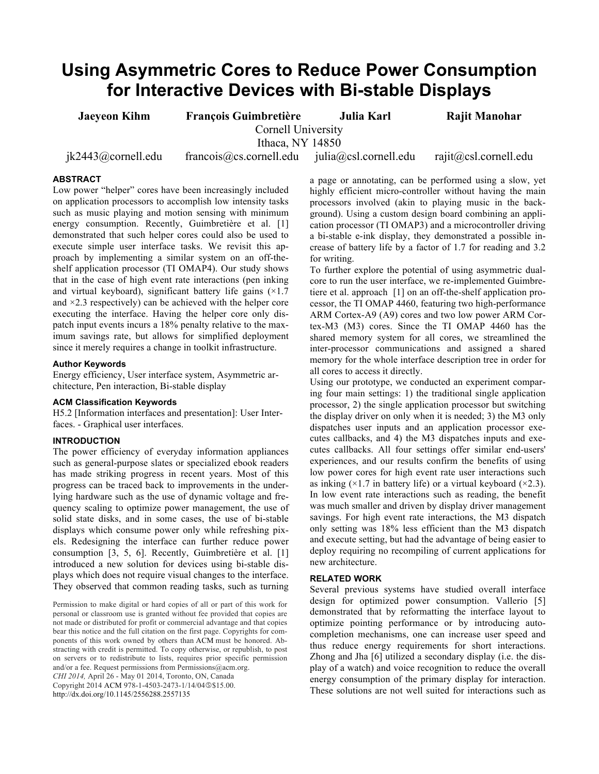# **Using Asymmetric Cores to Reduce Power Consumption for Interactive Devices with Bi-stable Displays**

**Jaeyeon Kihm François Guimbretière Julia Karl Rajit Manohar** Cornell University Ithaca, NY 14850

jk2443@cornell.edu francois@cs.cornell.edu julia@csl.cornell.edu rajit@csl.cornell.edu

# **ABSTRACT**

Low power "helper" cores have been increasingly included on application processors to accomplish low intensity tasks such as music playing and motion sensing with minimum energy consumption. Recently, Guimbretière et al. [1] demonstrated that such helper cores could also be used to execute simple user interface tasks. We revisit this approach by implementing a similar system on an off-theshelf application processor (TI OMAP4). Our study shows that in the case of high event rate interactions (pen inking and virtual keyboard), significant battery life gains  $(\times 1.7)$ and  $\times$ 2.3 respectively) can be achieved with the helper core executing the interface. Having the helper core only dispatch input events incurs a 18% penalty relative to the maximum savings rate, but allows for simplified deployment since it merely requires a change in toolkit infrastructure.

# **Author Keywords**

Energy efficiency, User interface system, Asymmetric architecture, Pen interaction, Bi-stable display

## **ACM Classification Keywords**

H5.2 [Information interfaces and presentation]: User Interfaces. - Graphical user interfaces.

# **INTRODUCTION**

The power efficiency of everyday information appliances such as general-purpose slates or specialized ebook readers has made striking progress in recent years. Most of this progress can be traced back to improvements in the underlying hardware such as the use of dynamic voltage and frequency scaling to optimize power management, the use of solid state disks, and in some cases, the use of bi-stable displays which consume power only while refreshing pixels. Redesigning the interface can further reduce power consumption [3, 5, 6]. Recently, Guimbretière et al. [1] introduced a new solution for devices using bi-stable displays which does not require visual changes to the interface. They observed that common reading tasks, such as turning

Permission to make digital or hard copies of all or part of this work for personal or classroom use is granted without fee provided that copies are not made or distributed for profit or commercial advantage and that copies bear this notice and the full citation on the first page. Copyrights for components of this work owned by others than ACM must be honored. Abstracting with credit is permitted. To copy otherwise, or republish, to post on servers or to redistribute to lists, requires prior specific permission and/or a fee. Request permissions from Permissions@acm.org. *CHI 2014,* April 26 - May 01 2014, Toronto, ON, Canada Copyright 2014 ACM 978-1-4503-2473-1/14/04 \$15.00. http://dx.doi.org/10.1145/2556288.2557135

a page or annotating, can be performed using a slow, yet highly efficient micro-controller without having the main processors involved (akin to playing music in the background). Using a custom design board combining an application processor (TI OMAP3) and a microcontroller driving a bi-stable e-ink display, they demonstrated a possible increase of battery life by a factor of 1.7 for reading and 3.2 for writing.

To further explore the potential of using asymmetric dualcore to run the user interface, we re-implemented Guimbretiere et al. approach [1] on an off-the-shelf application processor, the TI OMAP 4460, featuring two high-performance ARM Cortex-A9 (A9) cores and two low power ARM Cortex-M3 (M3) cores. Since the TI OMAP 4460 has the shared memory system for all cores, we streamlined the inter-processor communications and assigned a shared memory for the whole interface description tree in order for all cores to access it directly.

Using our prototype, we conducted an experiment comparing four main settings: 1) the traditional single application processor, 2) the single application processor but switching the display driver on only when it is needed; 3) the M3 only dispatches user inputs and an application processor executes callbacks, and 4) the M3 dispatches inputs and executes callbacks. All four settings offer similar end-users' experiences, and our results confirm the benefits of using low power cores for high event rate user interactions such as inking  $(\times 1.7$  in battery life) or a virtual keyboard  $(\times 2.3)$ . In low event rate interactions such as reading, the benefit was much smaller and driven by display driver management savings. For high event rate interactions, the M3 dispatch only setting was 18% less efficient than the M3 dispatch and execute setting, but had the advantage of being easier to deploy requiring no recompiling of current applications for new architecture.

## **RELATED WORK**

Several previous systems have studied overall interface design for optimized power consumption. Vallerio [5] demonstrated that by reformatting the interface layout to optimize pointing performance or by introducing autocompletion mechanisms, one can increase user speed and thus reduce energy requirements for short interactions. Zhong and Jha [6] utilized a secondary display (i.e. the display of a watch) and voice recognition to reduce the overall energy consumption of the primary display for interaction. These solutions are not well suited for interactions such as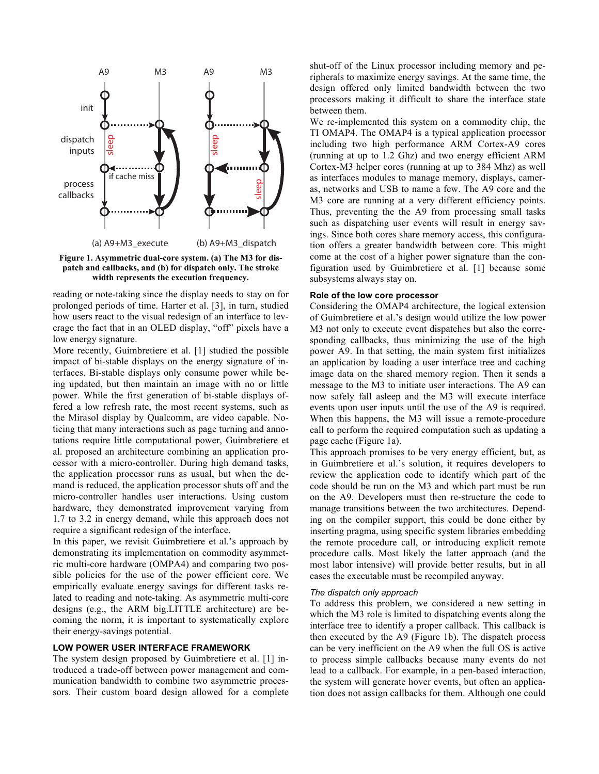

**Figure 1. Asymmetric dual-core system. (a) The M3 for dispatch and callbacks, and (b) for dispatch only. The stroke width represents the execution frequency.**

reading or note-taking since the display needs to stay on for prolonged periods of time. Harter et al. [3], in turn, studied how users react to the visual redesign of an interface to leverage the fact that in an OLED display, "off" pixels have a low energy signature.

More recently, Guimbretiere et al. [1] studied the possible impact of bi-stable displays on the energy signature of interfaces. Bi-stable displays only consume power while being updated, but then maintain an image with no or little power. While the first generation of bi-stable displays offered a low refresh rate, the most recent systems, such as the Mirasol display by Qualcomm, are video capable. Noticing that many interactions such as page turning and annotations require little computational power, Guimbretiere et al. proposed an architecture combining an application processor with a micro-controller. During high demand tasks, the application processor runs as usual, but when the demand is reduced, the application processor shuts off and the micro-controller handles user interactions. Using custom hardware, they demonstrated improvement varying from 1.7 to 3.2 in energy demand, while this approach does not require a significant redesign of the interface.

In this paper, we revisit Guimbretiere et al.'s approach by demonstrating its implementation on commodity asymmetric multi-core hardware (OMPA4) and comparing two possible policies for the use of the power efficient core. We empirically evaluate energy savings for different tasks related to reading and note-taking. As asymmetric multi-core designs (e.g., the ARM big.LITTLE architecture) are becoming the norm, it is important to systematically explore their energy-savings potential.

### **LOW POWER USER INTERFACE FRAMEWORK**

The system design proposed by Guimbretiere et al. [1] introduced a trade-off between power management and communication bandwidth to combine two asymmetric processors. Their custom board design allowed for a complete shut-off of the Linux processor including memory and peripherals to maximize energy savings. At the same time, the design offered only limited bandwidth between the two processors making it difficult to share the interface state between them.

We re-implemented this system on a commodity chip, the TI OMAP4. The OMAP4 is a typical application processor including two high performance ARM Cortex-A9 cores (running at up to 1.2 Ghz) and two energy efficient ARM Cortex-M3 helper cores (running at up to 384 Mhz) as well as interfaces modules to manage memory, displays, cameras, networks and USB to name a few. The A9 core and the M3 core are running at a very different efficiency points. Thus, preventing the the A9 from processing small tasks such as dispatching user events will result in energy savings. Since both cores share memory access, this configuration offers a greater bandwidth between core. This might come at the cost of a higher power signature than the configuration used by Guimbretiere et al. [1] because some subsystems always stay on.

## **Role of the low core processor**

Considering the OMAP4 architecture, the logical extension of Guimbretiere et al.'s design would utilize the low power M3 not only to execute event dispatches but also the corresponding callbacks, thus minimizing the use of the high power A9. In that setting, the main system first initializes an application by loading a user interface tree and caching image data on the shared memory region. Then it sends a message to the M3 to initiate user interactions. The A9 can now safely fall asleep and the M3 will execute interface events upon user inputs until the use of the A9 is required. When this happens, the M3 will issue a remote-procedure call to perform the required computation such as updating a page cache (Figure 1a).

This approach promises to be very energy efficient, but, as in Guimbretiere et al.'s solution, it requires developers to review the application code to identify which part of the code should be run on the M3 and which part must be run on the A9. Developers must then re-structure the code to manage transitions between the two architectures. Depending on the compiler support, this could be done either by inserting pragma, using specific system libraries embedding the remote procedure call, or introducing explicit remote procedure calls. Most likely the latter approach (and the most labor intensive) will provide better results, but in all cases the executable must be recompiled anyway.

#### *The dispatch only approach*

To address this problem, we considered a new setting in which the M3 role is limited to dispatching events along the interface tree to identify a proper callback. This callback is then executed by the A9 (Figure 1b). The dispatch process can be very inefficient on the A9 when the full OS is active to process simple callbacks because many events do not lead to a callback. For example, in a pen-based interaction, the system will generate hover events, but often an application does not assign callbacks for them. Although one could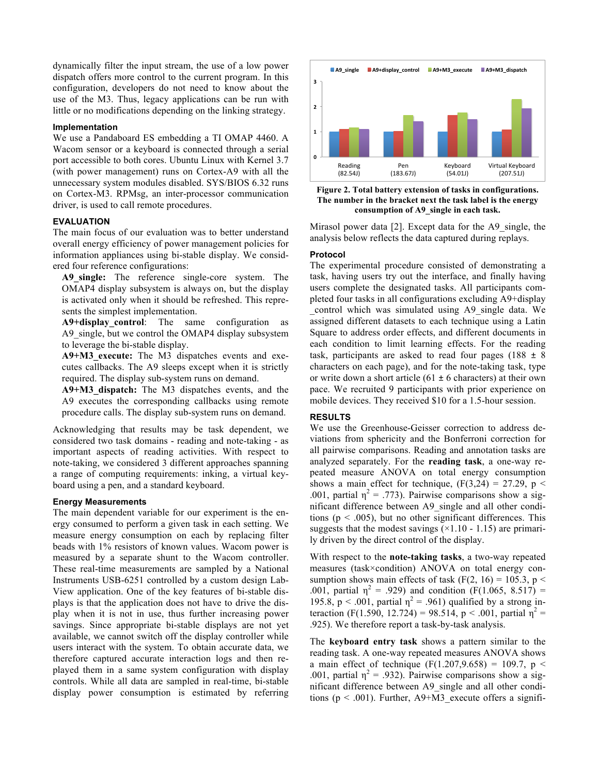dynamically filter the input stream, the use of a low power dispatch offers more control to the current program. In this configuration, developers do not need to know about the use of the M3. Thus, legacy applications can be run with little or no modifications depending on the linking strategy.

## **Implementation**

We use a Pandaboard ES embedding a TI OMAP 4460. A Wacom sensor or a keyboard is connected through a serial port accessible to both cores. Ubuntu Linux with Kernel 3.7 (with power management) runs on Cortex-A9 with all the unnecessary system modules disabled. SYS/BIOS 6.32 runs on Cortex-M3. RPMsg, an inter-processor communication driver, is used to call remote procedures.

## **EVALUATION**

The main focus of our evaluation was to better understand overall energy efficiency of power management policies for information appliances using bi-stable display. We considered four reference configurations:

**A9\_single:** The reference single-core system. The OMAP4 display subsystem is always on, but the display is activated only when it should be refreshed. This represents the simplest implementation.

**A9+display\_control**: The same configuration as A9 single, but we control the OMAP4 display subsystem to leverage the bi-stable display.

**A9+M3\_execute:** The M3 dispatches events and executes callbacks. The A9 sleeps except when it is strictly required. The display sub-system runs on demand.

**A9+M3\_dispatch:** The M3 dispatches events, and the A9 executes the corresponding callbacks using remote procedure calls. The display sub-system runs on demand.

Acknowledging that results may be task dependent, we considered two task domains - reading and note-taking - as important aspects of reading activities. With respect to note-taking, we considered 3 different approaches spanning a range of computing requirements: inking, a virtual keyboard using a pen, and a standard keyboard.

### **Energy Measurements**

The main dependent variable for our experiment is the energy consumed to perform a given task in each setting. We measure energy consumption on each by replacing filter beads with 1% resistors of known values. Wacom power is measured by a separate shunt to the Wacom controller. These real-time measurements are sampled by a National Instruments USB-6251 controlled by a custom design Lab-View application. One of the key features of bi-stable displays is that the application does not have to drive the display when it is not in use, thus further increasing power savings. Since appropriate bi-stable displays are not yet available, we cannot switch off the display controller while users interact with the system. To obtain accurate data, we therefore captured accurate interaction logs and then replayed them in a same system configuration with display controls. While all data are sampled in real-time, bi-stable display power consumption is estimated by referring



**Figure 2. Total battery extension of tasks in configurations. The number in the bracket next the task label is the energy consumption of A9\_single in each task.**

Mirasol power data [2]. Except data for the A9 single, the analysis below reflects the data captured during replays.

## **Protocol**

The experimental procedure consisted of demonstrating a task, having users try out the interface, and finally having users complete the designated tasks. All participants completed four tasks in all configurations excluding A9+display \_control which was simulated using A9\_single data. We assigned different datasets to each technique using a Latin Square to address order effects, and different documents in each condition to limit learning effects. For the reading task, participants are asked to read four pages (188  $\pm$  8) characters on each page), and for the note-taking task, type or write down a short article  $(61 \pm 6$  characters) at their own pace. We recruited 9 participants with prior experience on mobile devices. They received \$10 for a 1.5-hour session.

### **RESULTS**

We use the Greenhouse-Geisser correction to address deviations from sphericity and the Bonferroni correction for all pairwise comparisons. Reading and annotation tasks are analyzed separately. For the **reading task**, a one-way repeated measure ANOVA on total energy consumption shows a main effect for technique,  $(F(3,24) = 27.29, p <$ .001, partial  $\eta^2$  = .773). Pairwise comparisons show a significant difference between A9\_single and all other conditions ( $p < .005$ ), but no other significant differences. This suggests that the modest savings  $(\times1.10 - 1.15)$  are primarily driven by the direct control of the display.

With respect to the **note-taking tasks**, a two-way repeated measures (task×condition) ANOVA on total energy consumption shows main effects of task (F(2, 16) = 105.3, p < .001, partial  $\eta^2$  = .929) and condition (F(1.065, 8.517) = 195.8, p < .001, partial  $\eta^2$  = .961) qualified by a strong interaction (F(1.590, 12.724) = 98.514, p < .001, partial  $\eta^2$  = .925). We therefore report a task-by-task analysis.

The **keyboard entry task** shows a pattern similar to the reading task. A one-way repeated measures ANOVA shows a main effect of technique (F(1.207,9.658) = 109.7,  $p \le$ .001, partial  $\eta^2 = .932$ ). Pairwise comparisons show a significant difference between A9\_single and all other conditions ( $p < .001$ ). Further, A9+M3 execute offers a signifi-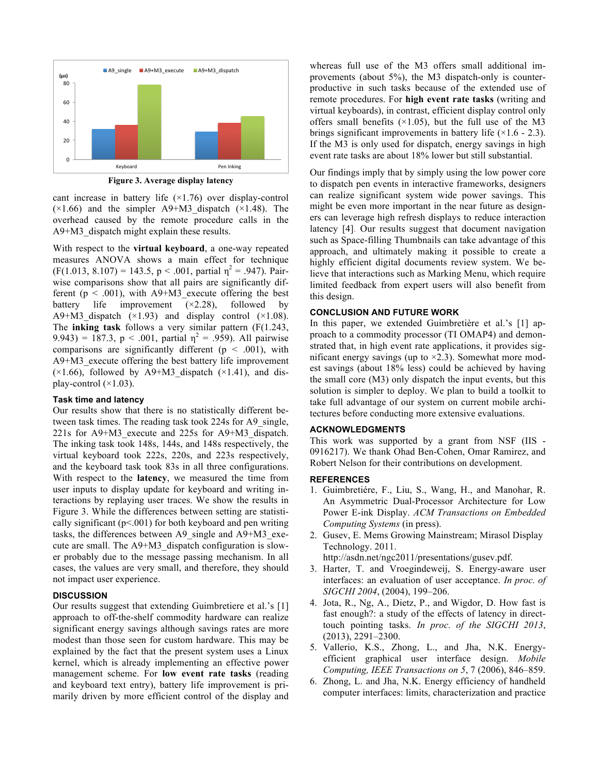

**Figure 3. Average display latency**

cant increase in battery life  $(\times 1.76)$  over display-control  $(\times 1.66)$  and the simpler A9+M3 dispatch  $(\times 1.48)$ . The overhead caused by the remote procedure calls in the A9+M3\_dispatch might explain these results.

With respect to the **virtual keyboard**, a one-way repeated measures ANOVA shows a main effect for technique  $(F(1.013, 8.107) = 143.5, p < .001,$  partial  $\eta^2 = .947$ ). Pairwise comparisons show that all pairs are significantly different ( $p < .001$ ), with A9+M3 execute offering the best battery life improvement  $(x2.28)$ , followed by A9+M3 dispatch  $(\times1.93)$  and display control  $(\times1.08)$ . The **inking task** follows a very similar pattern (F(1.243, 9.943) = 187.3, p < .001, partial  $\eta^2$  = .959). All pairwise comparisons are significantly different ( $p < .001$ ), with A9+M3 execute offering the best battery life improvement  $(x1.66)$ , followed by A9+M3 dispatch  $(x1.41)$ , and display-control  $(\times 1.03)$ .

## **Task time and latency**

Our results show that there is no statistically different between task times. The reading task took 224s for A9 single, 221s for A9+M3\_execute and 225s for A9+M3\_dispatch. The inking task took 148s, 144s, and 148s respectively, the virtual keyboard took 222s, 220s, and 223s respectively, and the keyboard task took 83s in all three configurations. With respect to the **latency**, we measured the time from user inputs to display update for keyboard and writing interactions by replaying user traces. We show the results in Figure 3. While the differences between setting are statistically significant  $(p<.001)$  for both keyboard and pen writing tasks, the differences between A9\_single and A9+M3\_execute are small. The A9+M3\_dispatch configuration is slower probably due to the message passing mechanism. In all cases, the values are very small, and therefore, they should not impact user experience.

# **DISCUSSION**

Our results suggest that extending Guimbretiere et al.'s [1] approach to off-the-shelf commodity hardware can realize significant energy savings although savings rates are more modest than those seen for custom hardware. This may be explained by the fact that the present system uses a Linux kernel, which is already implementing an effective power management scheme. For **low event rate tasks** (reading and keyboard text entry), battery life improvement is primarily driven by more efficient control of the display and

whereas full use of the M3 offers small additional improvements (about 5%), the M3 dispatch-only is counterproductive in such tasks because of the extended use of remote procedures. For **high event rate tasks** (writing and virtual keyboards), in contrast, efficient display control only offers small benefits  $(\times 1.05)$ , but the full use of the M3 brings significant improvements in battery life  $(\times 1.6 - 2.3)$ . If the M3 is only used for dispatch, energy savings in high event rate tasks are about 18% lower but still substantial.

Our findings imply that by simply using the low power core to dispatch pen events in interactive frameworks, designers can realize significant system wide power savings. This might be even more important in the near future as designers can leverage high refresh displays to reduce interaction latency [4]. Our results suggest that document navigation such as Space-filling Thumbnails can take advantage of this approach, and ultimately making it possible to create a highly efficient digital documents review system. We believe that interactions such as Marking Menu, which require limited feedback from expert users will also benefit from this design.

## **CONCLUSION AND FUTURE WORK**

In this paper, we extended Guimbretière et al.'s [1] approach to a commodity processor (TI OMAP4) and demonstrated that, in high event rate applications, it provides significant energy savings (up to  $\times$ 2.3). Somewhat more modest savings (about 18% less) could be achieved by having the small core (M3) only dispatch the input events, but this solution is simpler to deploy. We plan to build a toolkit to take full advantage of our system on current mobile architectures before conducting more extensive evaluations.

## **ACKNOWLEDGMENTS**

This work was supported by a grant from NSF (IIS - 0916217). We thank Ohad Ben-Cohen, Omar Ramirez, and Robert Nelson for their contributions on development.

### **REFERENCES**

- 1. Guimbretiére, F., Liu, S., Wang, H., and Manohar, R. An Asymmetric Dual-Processor Architecture for Low Power E-ink Display. *ACM Transactions on Embedded Computing Systems* (in press).
- 2. Gusev, E. Mems Growing Mainstream; Mirasol Display Technology. 2011.

http://asdn.net/ngc2011/presentations/gusev.pdf.

- 3. Harter, T. and Vroegindeweij, S. Energy-aware user interfaces: an evaluation of user acceptance. *In proc. of SIGCHI 2004*, (2004), 199–206.
- 4. Jota, R., Ng, A., Dietz, P., and Wigdor, D. How fast is fast enough?: a study of the effects of latency in directtouch pointing tasks. *In proc. of the SIGCHI 2013*, (2013), 2291–2300.
- 5. Vallerio, K.S., Zhong, L., and Jha, N.K. Energyefficient graphical user interface design. *Mobile Computing, IEEE Transactions on 5*, 7 (2006), 846–859.
- 6. Zhong, L. and Jha, N.K. Energy efficiency of handheld computer interfaces: limits, characterization and practice